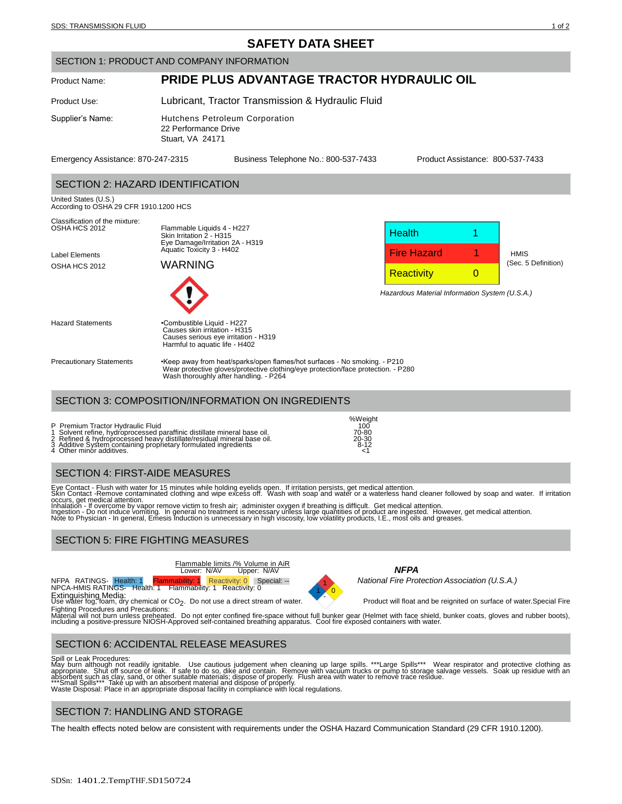# **SAFETY DATA SHEET**

#### SECTION 1: PRODUCT AND COMPANY INFORMATION

# Product Name: **PRIDE PLUS ADVANTAGE TRACTOR HYDRAULIC OIL**

Product Use: Lubricant, Tractor Transmission & Hydraulic Fluid

Supplier's Name: Hutchens Petroleum Corporation 22 Performance Drive Stuart, VA 24171

Emergency Assistance: 870-247-2315 Business Telephone No.: 800-537-7433 Product Assistance: 800-537-7433

## SECTION 2: HAZARD IDENTIFICATION

United States (U.S.) According to OSHA 29 CFR 1910.1200 HCS



Precautionary Statements •Keep away from heat/sparks/open flames/hot surfaces - No smoking. - P210 Wear protective gloves/protective clothing/eye protection/face protection. - P280 Wash thoroughly after handling. - P264

# SECTION 3: COMPOSITION/INFORMATION ON INGREDIENTS

Causes serious eye irritation - H319 Harmful to aquatic life - H402

P Premium Tractor Hydraulic Fluid<br>1 Solvent refine, hydroprocessed paraffinic distillate mineral base oil. 70-80<br>2 Refined & hydroprocessed heavy distillate/residual mineral base oil.

## SECTION 4: FIRST-AIDE MEASURES

Eye Contact - Flush with water for 15 minutes while holding eyelids open. If irritation persists, get medical attention.<br>Skin Contact -Remove contaminated clothing and wipe excess off. Wash with soap and water or a waterle

occurs, get medical attention.<br>Inhalation - If overcome by vapor remove victim to fresh air; administer oxygen if breathing is difficult. Get medical attention.<br>Ingestion - Do not induce vomiting. In general no treatment i

## SECTION 5: FIRE FIGHTING MEASURES

Flammable limits /% Volume in AiR Lower: N/AV Upper: N/AV *NFPA*

NFPA RATINGS- Health: 1 Flammability: 1 Reactivity: 0 Special: --<br>NPCA-HMIS RATINGS- Health: 1 Flammability: 1 Reactivity: 0

Extinguishing Media:<br>Use water fog, foam, dry chemical or CO<sub>2</sub>



%Weight<br>100<br>70-80

1 *National Fire Protection Association (U.S.A.)*

. Product will float and be reignited on surface of water. Special Fire

Fighting Procedures and Precautions:<br>Material will not burn unless preheated. Do not enter confined fire-space without full bunker gear (Helmet with face shield, bunker coats, gloves and rubber boots),<br>including a positive

# SECTION 6: ACCIDENTAL RELEASE MEASURES

Spill or Leak Procedures:<br>May burn although not readily ignitable. Use cautious judgement when cleaning up large spills. \*\*\*Large Spills\*\*\* Wear respirator and protective clothing as<br>Appropriate. Shut off source of leak. I

## SECTION 7: HANDLING AND STORAGE

The health effects noted below are consistent with requirements under the OSHA Hazard Communication Standard (29 CFR 1910.1200).